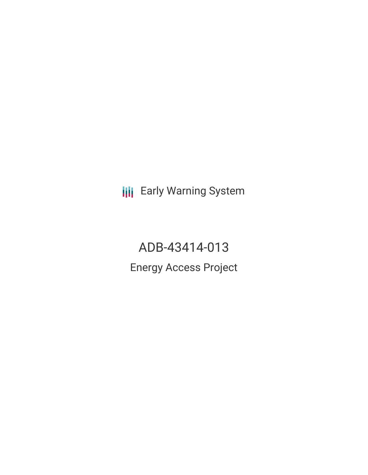**III** Early Warning System

ADB-43414-013 Energy Access Project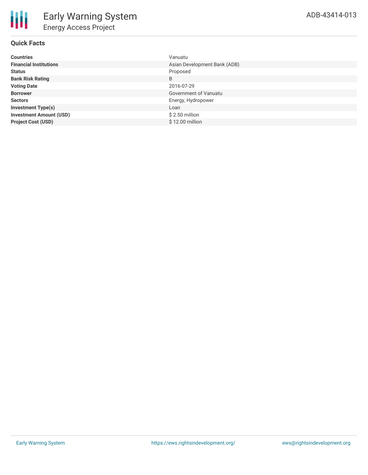| <b>Countries</b>               | Vanuatu                      |
|--------------------------------|------------------------------|
| <b>Financial Institutions</b>  | Asian Development Bank (ADB) |
| <b>Status</b>                  | Proposed                     |
| <b>Bank Risk Rating</b>        | B                            |
| <b>Voting Date</b>             | 2016-07-29                   |
| <b>Borrower</b>                | Government of Vanuatu        |
| <b>Sectors</b>                 | Energy, Hydropower           |
| <b>Investment Type(s)</b>      | Loan                         |
| <b>Investment Amount (USD)</b> | $$2.50$ million              |
| <b>Project Cost (USD)</b>      | \$12.00 million              |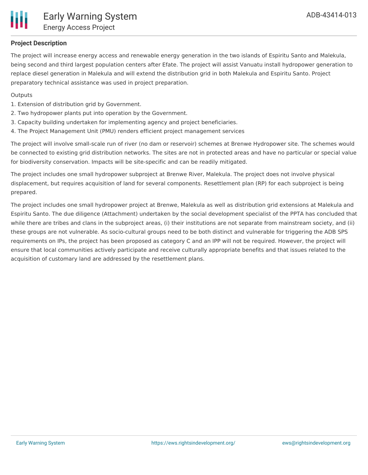

# **Project Description**

The project will increase energy access and renewable energy generation in the two islands of Espiritu Santo and Malekula, being second and third largest population centers after Efate. The project will assist Vanuatu install hydropower generation to replace diesel generation in Malekula and will extend the distribution grid in both Malekula and Espiritu Santo. Project preparatory technical assistance was used in project preparation.

#### **Outputs**

- 1. Extension of distribution grid by Government.
- 2. Two hydropower plants put into operation by the Government.
- 3. Capacity building undertaken for implementing agency and project beneficiaries.
- 4. The Project Management Unit (PMU) renders efficient project management services

The project will involve small-scale run of river (no dam or reservoir) schemes at Brenwe Hydropower site. The schemes would be connected to existing grid distribution networks. The sites are not in protected areas and have no particular or special value for biodiversity conservation. Impacts will be site-specific and can be readily mitigated.

The project includes one small hydropower subproject at Brenwe River, Malekula. The project does not involve physical displacement, but requires acquisition of land for several components. Resettlement plan (RP) for each subproject is being prepared.

The project includes one small hydropower project at Brenwe, Malekula as well as distribution grid extensions at Malekula and Espiritu Santo. The due diligence (Attachment) undertaken by the social development specialist of the PPTA has concluded that while there are tribes and clans in the subproject areas, (i) their institutions are not separate from mainstream society, and (ii) these groups are not vulnerable. As socio-cultural groups need to be both distinct and vulnerable for triggering the ADB SPS requirements on IPs, the project has been proposed as category C and an IPP will not be required. However, the project will ensure that local communities actively participate and receive culturally appropriate benefits and that issues related to the acquisition of customary land are addressed by the resettlement plans.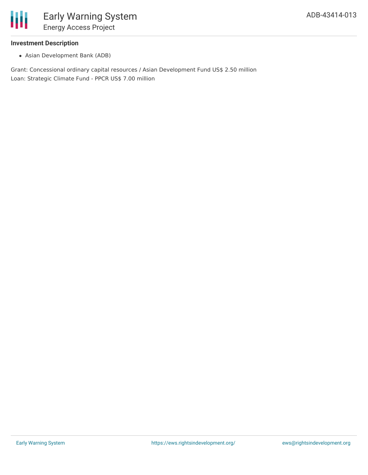

### **Investment Description**

Asian Development Bank (ADB)

Grant: Concessional ordinary capital resources / Asian Development Fund US\$ 2.50 million Loan: Strategic Climate Fund - PPCR US\$ 7.00 million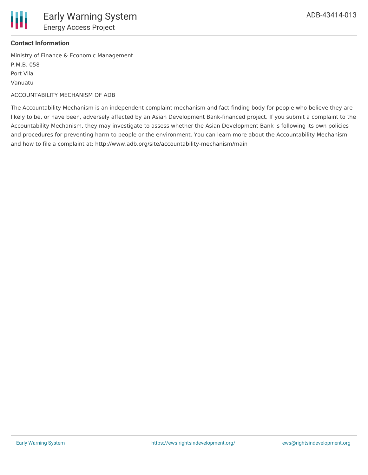

## **Contact Information**

Ministry of Finance & Economic Management P.M.B. 058 Port Vila Vanuatu

#### ACCOUNTABILITY MECHANISM OF ADB

The Accountability Mechanism is an independent complaint mechanism and fact-finding body for people who believe they are likely to be, or have been, adversely affected by an Asian Development Bank-financed project. If you submit a complaint to the Accountability Mechanism, they may investigate to assess whether the Asian Development Bank is following its own policies and procedures for preventing harm to people or the environment. You can learn more about the Accountability Mechanism and how to file a complaint at: http://www.adb.org/site/accountability-mechanism/main